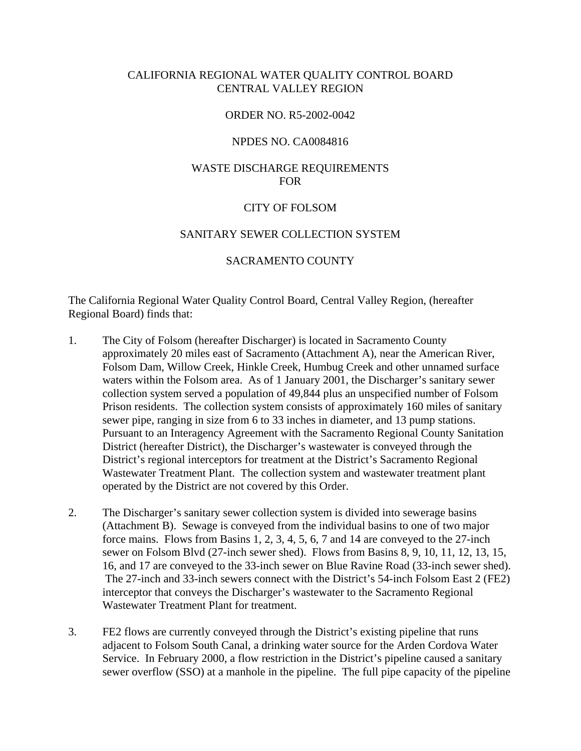## CALIFORNIA REGIONAL WATER QUALITY CONTROL BOARD CENTRAL VALLEY REGION

## ORDER NO. R5-2002-0042

#### NPDES NO. CA0084816

## WASTE DISCHARGE REQUIREMENTS FOR

### CITY OF FOLSOM

## SANITARY SEWER COLLECTION SYSTEM

### SACRAMENTO COUNTY

The California Regional Water Quality Control Board, Central Valley Region, (hereafter Regional Board) finds that:

- 1. The City of Folsom (hereafter Discharger) is located in Sacramento County approximately 20 miles east of Sacramento (Attachment A), near the American River, Folsom Dam, Willow Creek, Hinkle Creek, Humbug Creek and other unnamed surface waters within the Folsom area. As of 1 January 2001, the Discharger's sanitary sewer collection system served a population of 49,844 plus an unspecified number of Folsom Prison residents. The collection system consists of approximately 160 miles of sanitary sewer pipe, ranging in size from 6 to 33 inches in diameter, and 13 pump stations. Pursuant to an Interagency Agreement with the Sacramento Regional County Sanitation District (hereafter District), the Discharger's wastewater is conveyed through the District's regional interceptors for treatment at the District's Sacramento Regional Wastewater Treatment Plant. The collection system and wastewater treatment plant operated by the District are not covered by this Order.
- 2. The Discharger's sanitary sewer collection system is divided into sewerage basins (Attachment B). Sewage is conveyed from the individual basins to one of two major force mains. Flows from Basins 1, 2, 3, 4, 5, 6, 7 and 14 are conveyed to the 27-inch sewer on Folsom Blvd (27-inch sewer shed). Flows from Basins 8, 9, 10, 11, 12, 13, 15, 16, and 17 are conveyed to the 33-inch sewer on Blue Ravine Road (33-inch sewer shed). The 27-inch and 33-inch sewers connect with the District's 54-inch Folsom East 2 (FE2) interceptor that conveys the Discharger's wastewater to the Sacramento Regional Wastewater Treatment Plant for treatment.
- 3. FE2 flows are currently conveyed through the District's existing pipeline that runs adjacent to Folsom South Canal, a drinking water source for the Arden Cordova Water Service. In February 2000, a flow restriction in the District's pipeline caused a sanitary sewer overflow (SSO) at a manhole in the pipeline. The full pipe capacity of the pipeline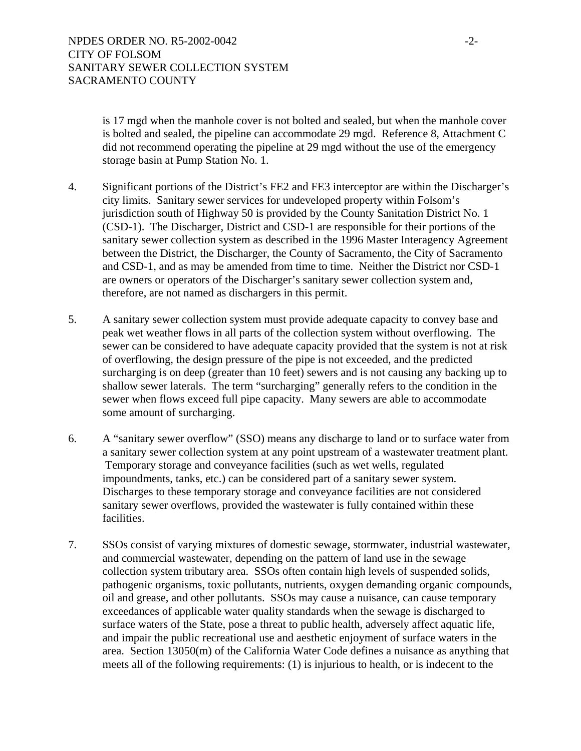is 17 mgd when the manhole cover is not bolted and sealed, but when the manhole cover is bolted and sealed, the pipeline can accommodate 29 mgd. Reference 8, Attachment C did not recommend operating the pipeline at 29 mgd without the use of the emergency storage basin at Pump Station No. 1.

- 4. Significant portions of the District's FE2 and FE3 interceptor are within the Discharger's city limits. Sanitary sewer services for undeveloped property within Folsom's jurisdiction south of Highway 50 is provided by the County Sanitation District No. 1 (CSD-1). The Discharger, District and CSD-1 are responsible for their portions of the sanitary sewer collection system as described in the 1996 Master Interagency Agreement between the District, the Discharger, the County of Sacramento, the City of Sacramento and CSD-1, and as may be amended from time to time. Neither the District nor CSD-1 are owners or operators of the Discharger's sanitary sewer collection system and, therefore, are not named as dischargers in this permit.
- 5. A sanitary sewer collection system must provide adequate capacity to convey base and peak wet weather flows in all parts of the collection system without overflowing. The sewer can be considered to have adequate capacity provided that the system is not at risk of overflowing, the design pressure of the pipe is not exceeded, and the predicted surcharging is on deep (greater than 10 feet) sewers and is not causing any backing up to shallow sewer laterals. The term "surcharging" generally refers to the condition in the sewer when flows exceed full pipe capacity. Many sewers are able to accommodate some amount of surcharging.
- 6. A "sanitary sewer overflow" (SSO) means any discharge to land or to surface water from a sanitary sewer collection system at any point upstream of a wastewater treatment plant. Temporary storage and conveyance facilities (such as wet wells, regulated impoundments, tanks, etc.) can be considered part of a sanitary sewer system. Discharges to these temporary storage and conveyance facilities are not considered sanitary sewer overflows, provided the wastewater is fully contained within these facilities.
- 7. SSOs consist of varying mixtures of domestic sewage, stormwater, industrial wastewater, and commercial wastewater, depending on the pattern of land use in the sewage collection system tributary area. SSOs often contain high levels of suspended solids, pathogenic organisms, toxic pollutants, nutrients, oxygen demanding organic compounds, oil and grease, and other pollutants. SSOs may cause a nuisance, can cause temporary exceedances of applicable water quality standards when the sewage is discharged to surface waters of the State, pose a threat to public health, adversely affect aquatic life, and impair the public recreational use and aesthetic enjoyment of surface waters in the area. Section 13050(m) of the California Water Code defines a nuisance as anything that meets all of the following requirements: (1) is injurious to health, or is indecent to the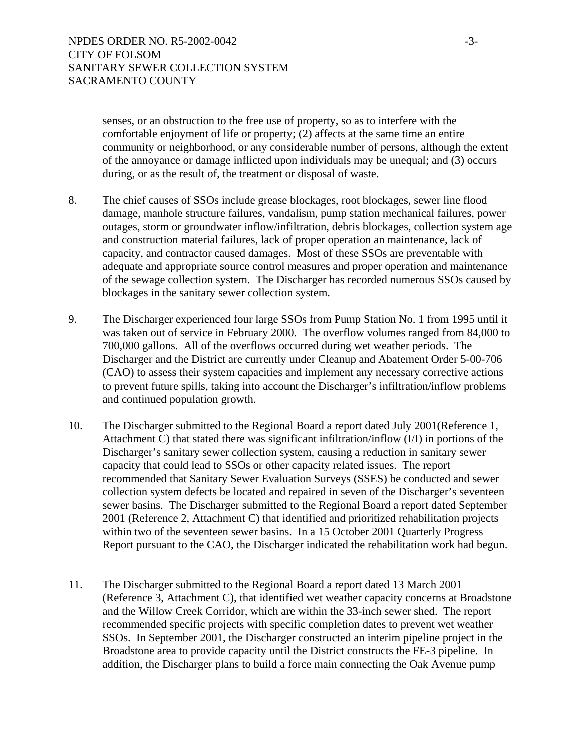senses, or an obstruction to the free use of property, so as to interfere with the comfortable enjoyment of life or property; (2) affects at the same time an entire community or neighborhood, or any considerable number of persons, although the extent of the annoyance or damage inflicted upon individuals may be unequal; and (3) occurs during, or as the result of, the treatment or disposal of waste.

- 8. The chief causes of SSOs include grease blockages, root blockages, sewer line flood damage, manhole structure failures, vandalism, pump station mechanical failures, power outages, storm or groundwater inflow/infiltration, debris blockages, collection system age and construction material failures, lack of proper operation an maintenance, lack of capacity, and contractor caused damages. Most of these SSOs are preventable with adequate and appropriate source control measures and proper operation and maintenance of the sewage collection system. The Discharger has recorded numerous SSOs caused by blockages in the sanitary sewer collection system.
- 9. The Discharger experienced four large SSOs from Pump Station No. 1 from 1995 until it was taken out of service in February 2000. The overflow volumes ranged from 84,000 to 700,000 gallons. All of the overflows occurred during wet weather periods. The Discharger and the District are currently under Cleanup and Abatement Order 5-00-706 (CAO) to assess their system capacities and implement any necessary corrective actions to prevent future spills, taking into account the Discharger's infiltration/inflow problems and continued population growth.
- 10. The Discharger submitted to the Regional Board a report dated July 2001(Reference 1, Attachment C) that stated there was significant infiltration/inflow (I/I) in portions of the Discharger's sanitary sewer collection system, causing a reduction in sanitary sewer capacity that could lead to SSOs or other capacity related issues. The report recommended that Sanitary Sewer Evaluation Surveys (SSES) be conducted and sewer collection system defects be located and repaired in seven of the Discharger's seventeen sewer basins. The Discharger submitted to the Regional Board a report dated September 2001 (Reference 2, Attachment C) that identified and prioritized rehabilitation projects within two of the seventeen sewer basins. In a 15 October 2001 Quarterly Progress Report pursuant to the CAO, the Discharger indicated the rehabilitation work had begun.
- 11. The Discharger submitted to the Regional Board a report dated 13 March 2001 (Reference 3, Attachment C), that identified wet weather capacity concerns at Broadstone and the Willow Creek Corridor, which are within the 33-inch sewer shed. The report recommended specific projects with specific completion dates to prevent wet weather SSOs. In September 2001, the Discharger constructed an interim pipeline project in the Broadstone area to provide capacity until the District constructs the FE-3 pipeline. In addition, the Discharger plans to build a force main connecting the Oak Avenue pump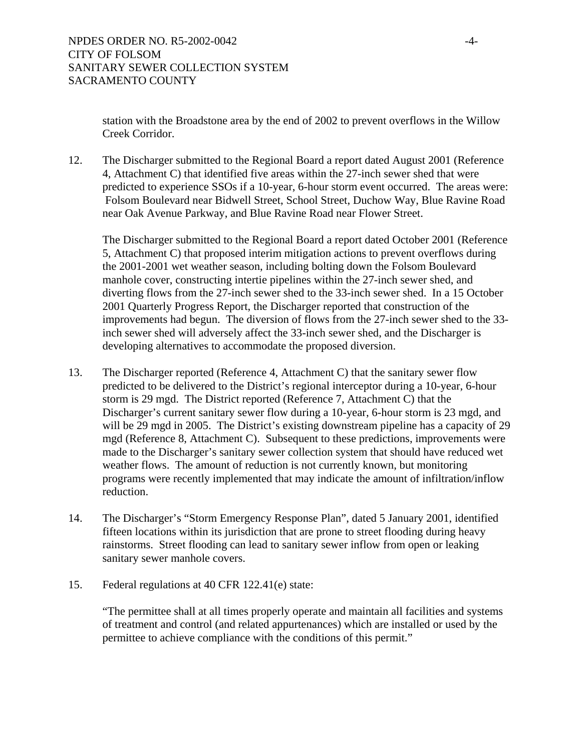station with the Broadstone area by the end of 2002 to prevent overflows in the Willow Creek Corridor.

12. The Discharger submitted to the Regional Board a report dated August 2001 (Reference 4, Attachment C) that identified five areas within the 27-inch sewer shed that were predicted to experience SSOs if a 10-year, 6-hour storm event occurred. The areas were: Folsom Boulevard near Bidwell Street, School Street, Duchow Way, Blue Ravine Road near Oak Avenue Parkway, and Blue Ravine Road near Flower Street.

 The Discharger submitted to the Regional Board a report dated October 2001 (Reference 5, Attachment C) that proposed interim mitigation actions to prevent overflows during the 2001-2001 wet weather season, including bolting down the Folsom Boulevard manhole cover, constructing intertie pipelines within the 27-inch sewer shed, and diverting flows from the 27-inch sewer shed to the 33-inch sewer shed. In a 15 October 2001 Quarterly Progress Report, the Discharger reported that construction of the improvements had begun. The diversion of flows from the 27-inch sewer shed to the 33 inch sewer shed will adversely affect the 33-inch sewer shed, and the Discharger is developing alternatives to accommodate the proposed diversion.

- 13. The Discharger reported (Reference 4, Attachment C) that the sanitary sewer flow predicted to be delivered to the District's regional interceptor during a 10-year, 6-hour storm is 29 mgd. The District reported (Reference 7, Attachment C) that the Discharger's current sanitary sewer flow during a 10-year, 6-hour storm is 23 mgd, and will be 29 mgd in 2005. The District's existing downstream pipeline has a capacity of 29 mgd (Reference 8, Attachment C). Subsequent to these predictions, improvements were made to the Discharger's sanitary sewer collection system that should have reduced wet weather flows. The amount of reduction is not currently known, but monitoring programs were recently implemented that may indicate the amount of infiltration/inflow reduction.
- 14. The Discharger's "Storm Emergency Response Plan", dated 5 January 2001, identified fifteen locations within its jurisdiction that are prone to street flooding during heavy rainstorms. Street flooding can lead to sanitary sewer inflow from open or leaking sanitary sewer manhole covers.
- 15. Federal regulations at 40 CFR 122.41(e) state:

"The permittee shall at all times properly operate and maintain all facilities and systems of treatment and control (and related appurtenances) which are installed or used by the permittee to achieve compliance with the conditions of this permit."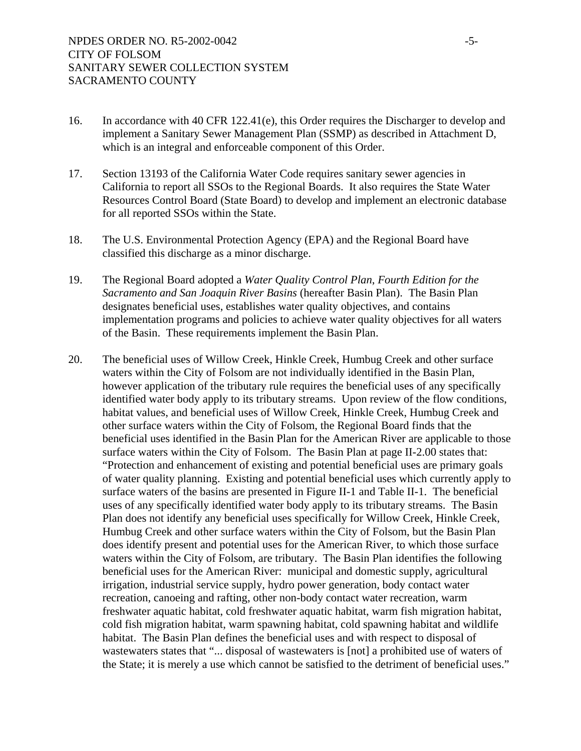- 16. In accordance with 40 CFR 122.41(e), this Order requires the Discharger to develop and implement a Sanitary Sewer Management Plan (SSMP) as described in Attachment D, which is an integral and enforceable component of this Order.
- 17. Section 13193 of the California Water Code requires sanitary sewer agencies in California to report all SSOs to the Regional Boards. It also requires the State Water Resources Control Board (State Board) to develop and implement an electronic database for all reported SSOs within the State.
- 18. The U.S. Environmental Protection Agency (EPA) and the Regional Board have classified this discharge as a minor discharge.
- 19. The Regional Board adopted a *Water Quality Control Plan*, *Fourth Edition for the Sacramento and San Joaquin River Basins* (hereafter Basin Plan). The Basin Plan designates beneficial uses, establishes water quality objectives, and contains implementation programs and policies to achieve water quality objectives for all waters of the Basin. These requirements implement the Basin Plan.
- 20. The beneficial uses of Willow Creek, Hinkle Creek, Humbug Creek and other surface waters within the City of Folsom are not individually identified in the Basin Plan, however application of the tributary rule requires the beneficial uses of any specifically identified water body apply to its tributary streams. Upon review of the flow conditions, habitat values, and beneficial uses of Willow Creek, Hinkle Creek, Humbug Creek and other surface waters within the City of Folsom, the Regional Board finds that the beneficial uses identified in the Basin Plan for the American River are applicable to those surface waters within the City of Folsom. The Basin Plan at page II-2.00 states that: "Protection and enhancement of existing and potential beneficial uses are primary goals of water quality planning. Existing and potential beneficial uses which currently apply to surface waters of the basins are presented in Figure II-1 and Table II-1. The beneficial uses of any specifically identified water body apply to its tributary streams. The Basin Plan does not identify any beneficial uses specifically for Willow Creek, Hinkle Creek, Humbug Creek and other surface waters within the City of Folsom, but the Basin Plan does identify present and potential uses for the American River, to which those surface waters within the City of Folsom, are tributary. The Basin Plan identifies the following beneficial uses for the American River: municipal and domestic supply, agricultural irrigation, industrial service supply, hydro power generation, body contact water recreation, canoeing and rafting, other non-body contact water recreation, warm freshwater aquatic habitat, cold freshwater aquatic habitat, warm fish migration habitat, cold fish migration habitat, warm spawning habitat, cold spawning habitat and wildlife habitat. The Basin Plan defines the beneficial uses and with respect to disposal of wastewaters states that "... disposal of wastewaters is [not] a prohibited use of waters of the State; it is merely a use which cannot be satisfied to the detriment of beneficial uses."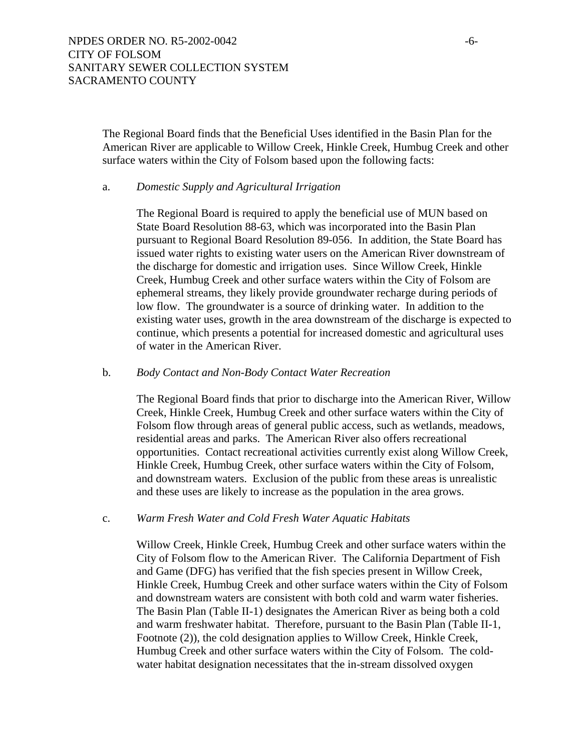The Regional Board finds that the Beneficial Uses identified in the Basin Plan for the American River are applicable to Willow Creek, Hinkle Creek, Humbug Creek and other surface waters within the City of Folsom based upon the following facts:

### a. *Domestic Supply and Agricultural Irrigation*

The Regional Board is required to apply the beneficial use of MUN based on State Board Resolution 88-63, which was incorporated into the Basin Plan pursuant to Regional Board Resolution 89-056. In addition, the State Board has issued water rights to existing water users on the American River downstream of the discharge for domestic and irrigation uses. Since Willow Creek, Hinkle Creek, Humbug Creek and other surface waters within the City of Folsom are ephemeral streams, they likely provide groundwater recharge during periods of low flow. The groundwater is a source of drinking water. In addition to the existing water uses, growth in the area downstream of the discharge is expected to continue, which presents a potential for increased domestic and agricultural uses of water in the American River.

### b. *Body Contact and Non-Body Contact Water Recreation*

The Regional Board finds that prior to discharge into the American River, Willow Creek, Hinkle Creek, Humbug Creek and other surface waters within the City of Folsom flow through areas of general public access, such as wetlands, meadows, residential areas and parks. The American River also offers recreational opportunities. Contact recreational activities currently exist along Willow Creek, Hinkle Creek, Humbug Creek, other surface waters within the City of Folsom, and downstream waters. Exclusion of the public from these areas is unrealistic and these uses are likely to increase as the population in the area grows.

## c. *Warm Fresh Water and Cold Fresh Water Aquatic Habitats*

Willow Creek, Hinkle Creek, Humbug Creek and other surface waters within the City of Folsom flow to the American River. The California Department of Fish and Game (DFG) has verified that the fish species present in Willow Creek, Hinkle Creek, Humbug Creek and other surface waters within the City of Folsom and downstream waters are consistent with both cold and warm water fisheries. The Basin Plan (Table II-1) designates the American River as being both a cold and warm freshwater habitat. Therefore, pursuant to the Basin Plan (Table II-1, Footnote (2)), the cold designation applies to Willow Creek, Hinkle Creek, Humbug Creek and other surface waters within the City of Folsom. The coldwater habitat designation necessitates that the in-stream dissolved oxygen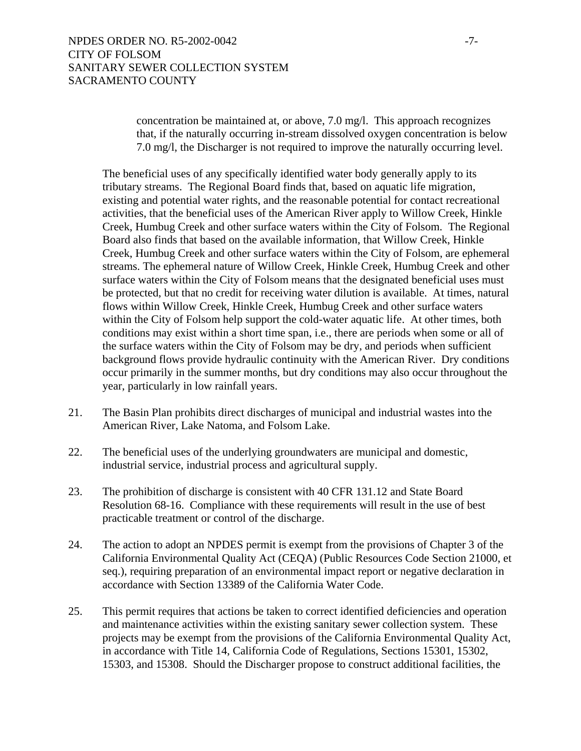concentration be maintained at, or above, 7.0 mg/l. This approach recognizes that, if the naturally occurring in-stream dissolved oxygen concentration is below 7.0 mg/l, the Discharger is not required to improve the naturally occurring level.

The beneficial uses of any specifically identified water body generally apply to its tributary streams. The Regional Board finds that, based on aquatic life migration, existing and potential water rights, and the reasonable potential for contact recreational activities, that the beneficial uses of the American River apply to Willow Creek, Hinkle Creek, Humbug Creek and other surface waters within the City of Folsom. The Regional Board also finds that based on the available information, that Willow Creek, Hinkle Creek, Humbug Creek and other surface waters within the City of Folsom, are ephemeral streams. The ephemeral nature of Willow Creek, Hinkle Creek, Humbug Creek and other surface waters within the City of Folsom means that the designated beneficial uses must be protected, but that no credit for receiving water dilution is available. At times, natural flows within Willow Creek, Hinkle Creek, Humbug Creek and other surface waters within the City of Folsom help support the cold-water aquatic life. At other times, both conditions may exist within a short time span, i.e., there are periods when some or all of the surface waters within the City of Folsom may be dry, and periods when sufficient background flows provide hydraulic continuity with the American River. Dry conditions occur primarily in the summer months, but dry conditions may also occur throughout the year, particularly in low rainfall years.

- 21. The Basin Plan prohibits direct discharges of municipal and industrial wastes into the American River, Lake Natoma, and Folsom Lake.
- 22. The beneficial uses of the underlying groundwaters are municipal and domestic, industrial service, industrial process and agricultural supply.
- 23. The prohibition of discharge is consistent with 40 CFR 131.12 and State Board Resolution 68-16. Compliance with these requirements will result in the use of best practicable treatment or control of the discharge.
- 24. The action to adopt an NPDES permit is exempt from the provisions of Chapter 3 of the California Environmental Quality Act (CEQA) (Public Resources Code Section 21000, et seq.), requiring preparation of an environmental impact report or negative declaration in accordance with Section 13389 of the California Water Code.
- 25. This permit requires that actions be taken to correct identified deficiencies and operation and maintenance activities within the existing sanitary sewer collection system. These projects may be exempt from the provisions of the California Environmental Quality Act, in accordance with Title 14, California Code of Regulations, Sections 15301, 15302, 15303, and 15308. Should the Discharger propose to construct additional facilities, the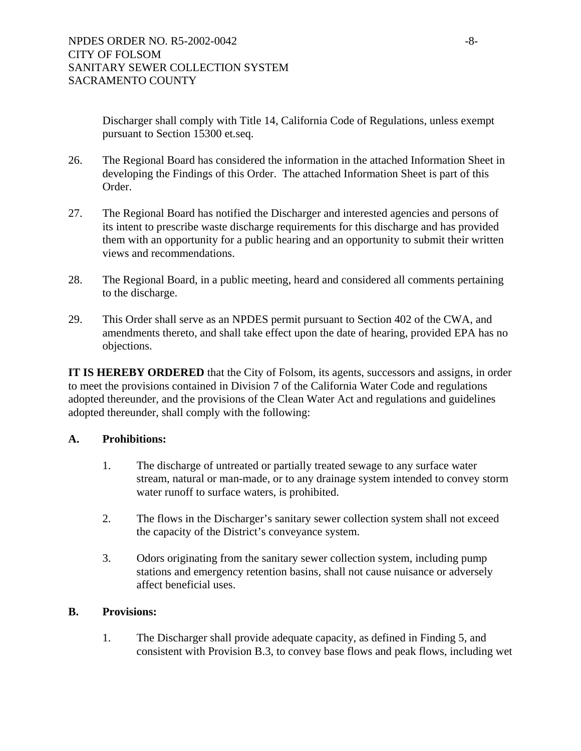Discharger shall comply with Title 14, California Code of Regulations, unless exempt pursuant to Section 15300 et.seq.

- 26. The Regional Board has considered the information in the attached Information Sheet in developing the Findings of this Order. The attached Information Sheet is part of this Order.
- 27. The Regional Board has notified the Discharger and interested agencies and persons of its intent to prescribe waste discharge requirements for this discharge and has provided them with an opportunity for a public hearing and an opportunity to submit their written views and recommendations.
- 28. The Regional Board, in a public meeting, heard and considered all comments pertaining to the discharge.
- 29. This Order shall serve as an NPDES permit pursuant to Section 402 of the CWA, and amendments thereto, and shall take effect upon the date of hearing, provided EPA has no objections.

**IT IS HEREBY ORDERED** that the City of Folsom, its agents, successors and assigns, in order to meet the provisions contained in Division 7 of the California Water Code and regulations adopted thereunder, and the provisions of the Clean Water Act and regulations and guidelines adopted thereunder, shall comply with the following:

# **A. Prohibitions:**

- 1. The discharge of untreated or partially treated sewage to any surface water stream, natural or man-made, or to any drainage system intended to convey storm water runoff to surface waters, is prohibited.
- 2. The flows in the Discharger's sanitary sewer collection system shall not exceed the capacity of the District's conveyance system.
- 3. Odors originating from the sanitary sewer collection system, including pump stations and emergency retention basins, shall not cause nuisance or adversely affect beneficial uses.

## **B. Provisions:**

1. The Discharger shall provide adequate capacity, as defined in Finding 5, and consistent with Provision B.3, to convey base flows and peak flows, including wet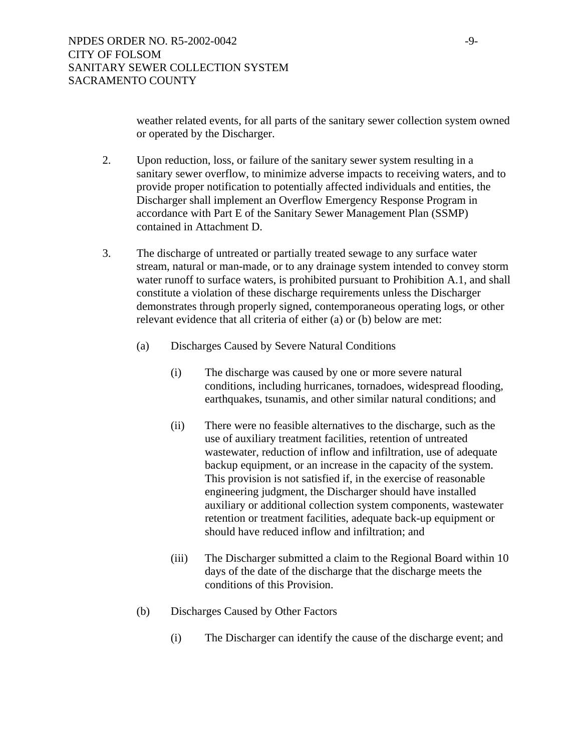weather related events, for all parts of the sanitary sewer collection system owned or operated by the Discharger.

- 2. Upon reduction, loss, or failure of the sanitary sewer system resulting in a sanitary sewer overflow, to minimize adverse impacts to receiving waters, and to provide proper notification to potentially affected individuals and entities, the Discharger shall implement an Overflow Emergency Response Program in accordance with Part E of the Sanitary Sewer Management Plan (SSMP) contained in Attachment D.
- 3. The discharge of untreated or partially treated sewage to any surface water stream, natural or man-made, or to any drainage system intended to convey storm water runoff to surface waters, is prohibited pursuant to Prohibition A.1, and shall constitute a violation of these discharge requirements unless the Discharger demonstrates through properly signed, contemporaneous operating logs, or other relevant evidence that all criteria of either (a) or (b) below are met:
	- (a) Discharges Caused by Severe Natural Conditions
		- (i) The discharge was caused by one or more severe natural conditions, including hurricanes, tornadoes, widespread flooding, earthquakes, tsunamis, and other similar natural conditions; and
		- (ii) There were no feasible alternatives to the discharge, such as the use of auxiliary treatment facilities, retention of untreated wastewater, reduction of inflow and infiltration, use of adequate backup equipment, or an increase in the capacity of the system. This provision is not satisfied if, in the exercise of reasonable engineering judgment, the Discharger should have installed auxiliary or additional collection system components, wastewater retention or treatment facilities, adequate back-up equipment or should have reduced inflow and infiltration; and
		- (iii) The Discharger submitted a claim to the Regional Board within 10 days of the date of the discharge that the discharge meets the conditions of this Provision.
	- (b) Discharges Caused by Other Factors
		- (i) The Discharger can identify the cause of the discharge event; and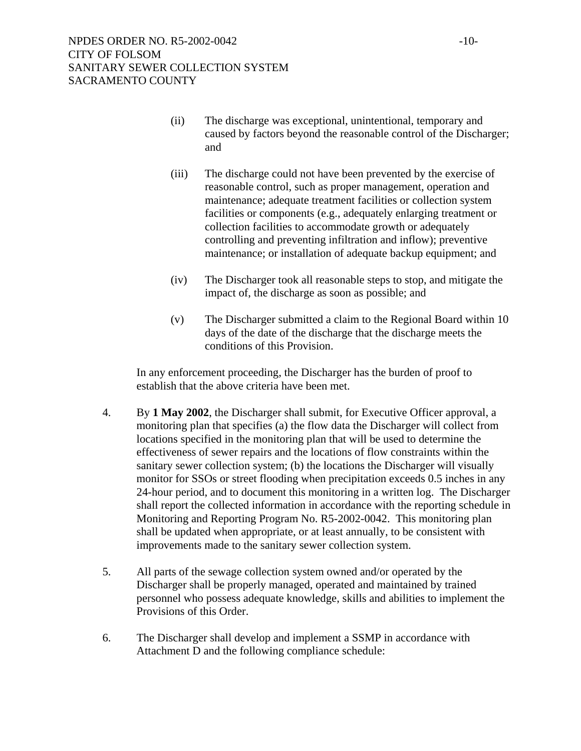- (ii) The discharge was exceptional, unintentional, temporary and caused by factors beyond the reasonable control of the Discharger; and
- (iii) The discharge could not have been prevented by the exercise of reasonable control, such as proper management, operation and maintenance; adequate treatment facilities or collection system facilities or components (e.g., adequately enlarging treatment or collection facilities to accommodate growth or adequately controlling and preventing infiltration and inflow); preventive maintenance; or installation of adequate backup equipment; and
- (iv) The Discharger took all reasonable steps to stop, and mitigate the impact of, the discharge as soon as possible; and
- (v) The Discharger submitted a claim to the Regional Board within 10 days of the date of the discharge that the discharge meets the conditions of this Provision.

In any enforcement proceeding, the Discharger has the burden of proof to establish that the above criteria have been met.

- 4. By **1 May 2002**, the Discharger shall submit, for Executive Officer approval, a monitoring plan that specifies (a) the flow data the Discharger will collect from locations specified in the monitoring plan that will be used to determine the effectiveness of sewer repairs and the locations of flow constraints within the sanitary sewer collection system; (b) the locations the Discharger will visually monitor for SSOs or street flooding when precipitation exceeds 0.5 inches in any 24-hour period, and to document this monitoring in a written log. The Discharger shall report the collected information in accordance with the reporting schedule in Monitoring and Reporting Program No. R5-2002-0042. This monitoring plan shall be updated when appropriate, or at least annually, to be consistent with improvements made to the sanitary sewer collection system.
- 5. All parts of the sewage collection system owned and/or operated by the Discharger shall be properly managed, operated and maintained by trained personnel who possess adequate knowledge, skills and abilities to implement the Provisions of this Order.
- 6. The Discharger shall develop and implement a SSMP in accordance with Attachment D and the following compliance schedule: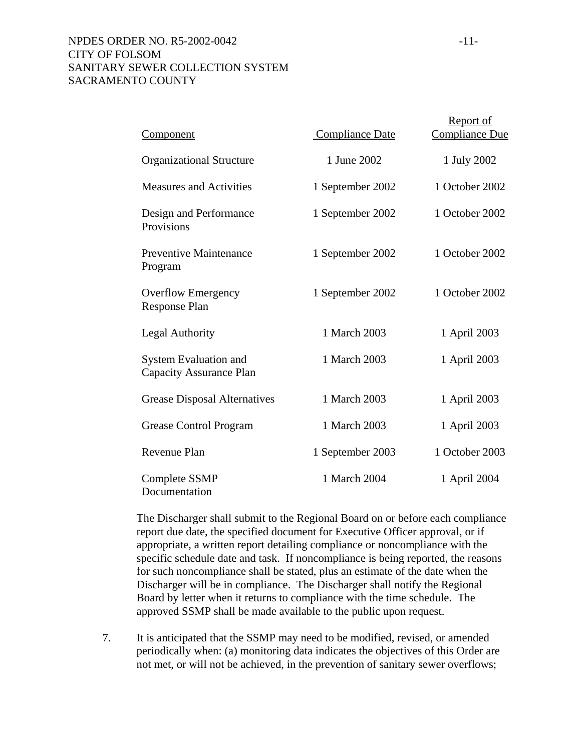## NPDES ORDER NO. R5-2002-0042 -11-CITY OF FOLSOM SANITARY SEWER COLLECTION SYSTEM SACRAMENTO COUNTY

| <u>Component</u>                                               | <b>Compliance Date</b> | <b>Report of</b><br>Compliance Due |
|----------------------------------------------------------------|------------------------|------------------------------------|
| <b>Organizational Structure</b>                                | 1 June 2002            | 1 July 2002                        |
| <b>Measures and Activities</b>                                 | 1 September 2002       | 1 October 2002                     |
| Design and Performance<br>Provisions                           | 1 September 2002       | 1 October 2002                     |
| <b>Preventive Maintenance</b><br>Program                       | 1 September 2002       | 1 October 2002                     |
| <b>Overflow Emergency</b><br><b>Response Plan</b>              | 1 September 2002       | 1 October 2002                     |
| <b>Legal Authority</b>                                         | 1 March 2003           | 1 April 2003                       |
| <b>System Evaluation and</b><br><b>Capacity Assurance Plan</b> | 1 March 2003           | 1 April 2003                       |
| <b>Grease Disposal Alternatives</b>                            | 1 March 2003           | 1 April 2003                       |
| <b>Grease Control Program</b>                                  | 1 March 2003           | 1 April 2003                       |
| <b>Revenue Plan</b>                                            | 1 September 2003       | 1 October 2003                     |
| <b>Complete SSMP</b><br>Documentation                          | 1 March 2004           | 1 April 2004                       |

The Discharger shall submit to the Regional Board on or before each compliance report due date, the specified document for Executive Officer approval, or if appropriate, a written report detailing compliance or noncompliance with the specific schedule date and task. If noncompliance is being reported, the reasons for such noncompliance shall be stated, plus an estimate of the date when the Discharger will be in compliance. The Discharger shall notify the Regional Board by letter when it returns to compliance with the time schedule. The approved SSMP shall be made available to the public upon request.

7. It is anticipated that the SSMP may need to be modified, revised, or amended periodically when: (a) monitoring data indicates the objectives of this Order are not met, or will not be achieved, in the prevention of sanitary sewer overflows;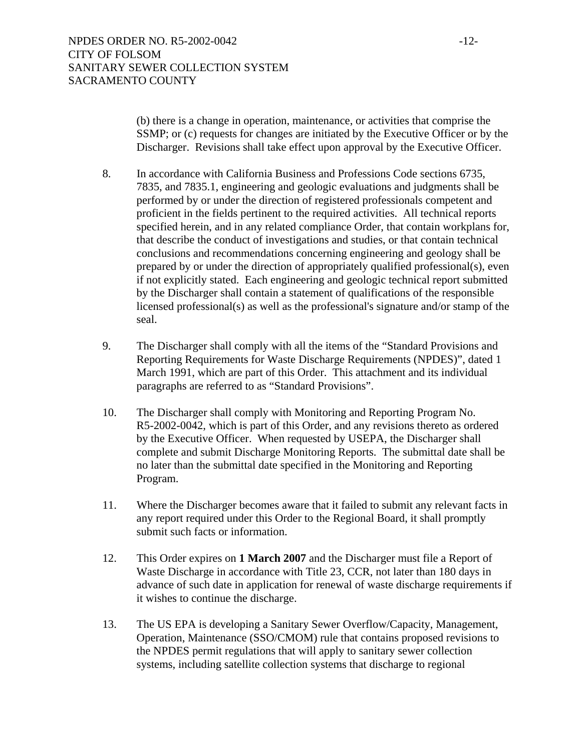(b) there is a change in operation, maintenance, or activities that comprise the SSMP; or (c) requests for changes are initiated by the Executive Officer or by the Discharger. Revisions shall take effect upon approval by the Executive Officer.

- 8. In accordance with California Business and Professions Code sections 6735, 7835, and 7835.1, engineering and geologic evaluations and judgments shall be performed by or under the direction of registered professionals competent and proficient in the fields pertinent to the required activities. All technical reports specified herein, and in any related compliance Order, that contain workplans for, that describe the conduct of investigations and studies, or that contain technical conclusions and recommendations concerning engineering and geology shall be prepared by or under the direction of appropriately qualified professional(s), even if not explicitly stated. Each engineering and geologic technical report submitted by the Discharger shall contain a statement of qualifications of the responsible licensed professional(s) as well as the professional's signature and/or stamp of the seal.
- 9. The Discharger shall comply with all the items of the "Standard Provisions and Reporting Requirements for Waste Discharge Requirements (NPDES)", dated 1 March 1991, which are part of this Order. This attachment and its individual paragraphs are referred to as "Standard Provisions".
- 10. The Discharger shall comply with Monitoring and Reporting Program No. R5-2002-0042, which is part of this Order, and any revisions thereto as ordered by the Executive Officer. When requested by USEPA, the Discharger shall complete and submit Discharge Monitoring Reports. The submittal date shall be no later than the submittal date specified in the Monitoring and Reporting Program.
- 11. Where the Discharger becomes aware that it failed to submit any relevant facts in any report required under this Order to the Regional Board, it shall promptly submit such facts or information.
- 12. This Order expires on **1 March 2007** and the Discharger must file a Report of Waste Discharge in accordance with Title 23, CCR, not later than 180 days in advance of such date in application for renewal of waste discharge requirements if it wishes to continue the discharge.
- 13. The US EPA is developing a Sanitary Sewer Overflow/Capacity, Management, Operation, Maintenance (SSO/CMOM) rule that contains proposed revisions to the NPDES permit regulations that will apply to sanitary sewer collection systems, including satellite collection systems that discharge to regional